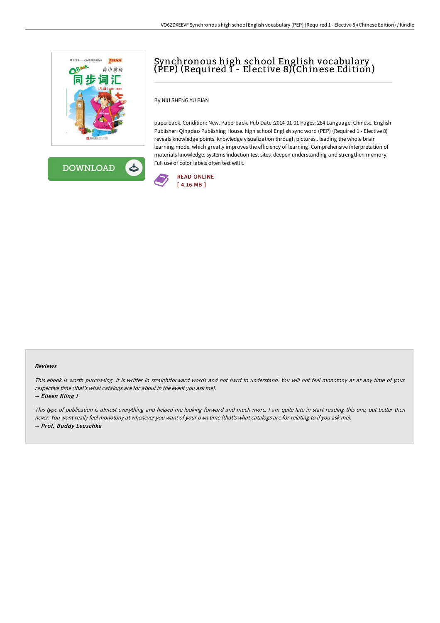



# Synchronous high school English vocabulary (PEP) (Required 1 - Elective 8)(Chinese Edition)

By NIU SHENG YU BIAN

paperback. Condition: New. Paperback. Pub Date :2014-01-01 Pages: 284 Language: Chinese. English Publisher: Qingdao Publishing House. high school English sync word (PEP) (Required 1 - Elective 8) reveals knowledge points. knowledge visualization through pictures . leading the whole brain learning mode. which greatly improves the efficiency of learning. Comprehensive interpretation of materials knowledge. systems induction test sites. deepen understanding and strengthen memory. Full use of color labels often test will t.



#### Reviews

This ebook is worth purchasing. It is writter in straightforward words and not hard to understand. You will not feel monotony at at any time of your respective time (that's what catalogs are for about in the event you ask me).

#### -- Eileen Kling I

This type of publication is almost everything and helped me looking forward and much more. <sup>I</sup> am quite late in start reading this one, but better then never. You wont really feel monotony at whenever you want of your own time (that's what catalogs are for relating to if you ask me). -- Prof. Buddy Leuschke